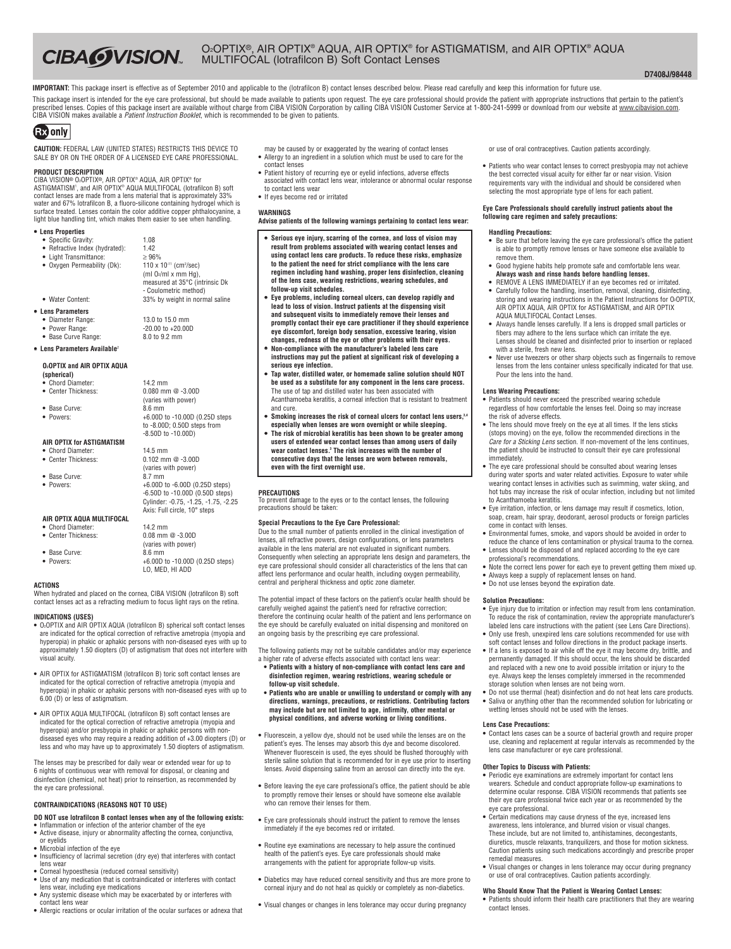**D7408J/98448**

IMPORTANT: This package insert is effective as of September 2010 and applicable to the (lotrafilcon B) contact lenses described below. Please read carefully and keep this information for future use. This package insert is intended for the eye care professional, but should be made available to patients upon request. The eye care professional should provide the patient with appropriate instructions that pertain to the p CIBA VISION makes available a *Patient Instruction Booklet*, which is recommended to be given to patients.

# **GEO** only

**CAUTION:** FEDERAL LAW (UNITED STATES) RESTRICTS THIS DEVICE TO SALE BY OR ON THE ORDER OF A LICENSED EYE CARE PROFESSIONAL.

**CIBA WISION** 

## **PRODUCT DESCRIPTION**

CIBA VISION® O2OPTIX®, AIR OPTIX® AQUA, AIR OPTIX® for ASTIGMATISM1 , and AIR OPTIX® AQUA MULTIFOCAL (lotrafilcon B) soft contact lenses are made from a lens material that is approximately 33% water and 67% lotrafilcon B, a fluoro-silicone containing hydrogel which is surface treated. Lenses contain the color additive copper phthalocyanine, a light blue handling tint, which makes them easier to see when handling.

- **• Lens Properties**
	- **•** Specific Gravity: 1.08
- Refractive Index (hydrated): 1.42 **•** Light Transmittance: ≥ 96% • Oxygen Permeability (Dk):
- $110 \times 10^{-11}$  (cm<sup>2</sup>/sec) (ml  $O_2$ /ml x mm Hg) measured at 35°C (intrinsic Dk - Coulometric method) • Water Content: 33% by weight in normal saline

**•** Power Range: -20.00 to +20.00D

(varies with power)

to -8.00D; 0.50D steps from -8.50D to -10.00D)

**• Lens Parameters**

- Diameter Range: 13.0 to 15.0 mm<br>• Power Range: 13.0 to +20.00 to +20.00
- 
- **•** Base Curve Range: 8.0 to 9.2 mm **• Lens Parameters Available**<sup>2</sup>

## **O2OPTIX and AIR OPTIX AQUA**

- **(spherical) •** Chord Diameter: 14.2 mm
- **•** Center Thickness: 0.080 mm @ -3.00D
- Base Curve:
- **•** Powers: +6.00D to -10.00D (0.25D steps
- 

## **AIR OPTIX for ASTIGMATISM**

- **•** Chord Diameter: 14.5 mm
- **•** Base Curve: 8.7 mm
- 
- **0.102 mm @ -3.00D** (varies with power) **•** Powers: +6.00D to -6.00D (0.25D steps) -6.50D to -10.00D (0.50D steps) Cylinder: -0.75, -1.25, -1.75, -2.25 Axis: Full circle, 10° steps

(varies with power)

LO, MED, HI ADD

#### **AIR OPTIX AQUA MULTIFOCAL •** Chord Diameter: 14.2 mm **•** Center Thickness: 0.08 mm @ -3.00D

- 
- Base Curve: 8.6 mm
- **•** Powers: +6.00D to -10.00D (0.25D steps)

## **ACTIONS**

When hydrated and placed on the cornea, CIBA VISION (lotrafilcon B) soft contact lenses act as a refracting medium to focus light rays on the retina.

## **INDICATIONS (USES)**

- **•** O2OPTIX and AIR OPTIX AQUA (lotrafilcon B) spherical soft contact lenses are indicated for the optical correction of refractive ametropia (myopia and hyperopia) in phakic or aphakic persons with non-diseased eyes with up to approximately 1.50 diopters (D) of astigmatism that does not interfere with visual acuity.
- **•** AIR OPTIX for ASTIGMATISM (lotrafilcon B) toric soft contact lenses are indicated for the optical correction of refractive ametropia (myopia and hyperopia) in phakic or aphakic persons with non-diseased eyes with up to 6.00 (D) or less of astigmatism.
- **•** AIR OPTIX AQUA MULTIFOCAL (lotrafilcon B) soft contact lenses are indicated for the optical correction of refractive ametropia (myopia and hyperopia) and/or presbyopia in phakic or aphakic persons with nondiseased eyes who may require a reading addition of +3.00 diopters (D) or less and who may have up to approximately 1.50 diopters of astigmatism.

The lenses may be prescribed for daily wear or extended wear for up to 6 nights of continuous wear with removal for disposal, or cleaning and disinfection (chemical, not heat) prior to reinsertion, as recommended by the eye care professional.

## **CONTRAINDICATIONS (REASONS NOT TO USE)**

**DO NOT use lotrafilcon B contact lenses when any of the following exists:**

- **•** Inflammation or infection of the anterior chamber of the eye **•** Active disease, injury or abnormality affecting the cornea, conjunctiva,
- or eyelids **•** Microbial infection of the eye **•** Insufficiency of lacrimal secretion (dry eye) that interferes with contact
- lens wear
- **•** Corneal hypoesthesia (reduced corneal sensitivity) **•** Use of any medication that is contraindicated or interferes with contact lens wear, including eye medications **•** Any systemic disease which may be exacerbated by or interferes with
- contact lens wear
- **•** Allergic reactions or ocular irritation of the ocular surfaces or adnexa that
- may be caused by or exaggerated by the wearing of contact lenses **•** Allergy to an ingredient in a solution which must be used to care for the
- contact lenses **•** Patient history of recurring eye or eyelid infections, adverse effects associated with contact lens wear, intolerance or abnormal ocular response
- to contact lens wear **•** If eyes become red or irritated

## **WARNINGS**

**Advise patients of the following warnings pertaining to contact lens wear:**

- **Serious eye injury, scarring of the cornea, and loss of vision may result** from problems associated with wearing contact lenses and **using contact lens care products. To reduce these risks, emphasize to the patient the need for strict compliance with the lens care regimen including hand washing, proper lens disinfection, cleaning of the lens case, wearing restrictions, wearing schedules, and follow-up visit schedules.**
- **Eye problems, including corneal ulcers, can develop rapidly and lead to loss of vision. Instruct patients at the dispensing visit and subsequent visits to immediately remove their lenses and promptly contact their eye care practitioner if they should experience eye discomfort, foreign body sensation, excessive tearing, vision changes, redness of the eye or other problems with their eyes.**
- **Non-compliance with the manufacturer's labeled lens care instructions may put the patient at significant risk of developing a serious eye infection.**
- **Tap water, distilled water, or homemade saline solution should NOT be used as a substitute for any component in the lens care process.** The use of tap and distilled water has been associated with Acanthamoeba keratitis, a corneal infection that is resistant to treatment and cure.
- **Smoking increases the risk of corneal ulcers for contact lens users, 3,4 especially when lenses are worn overnight or while sleeping.**
- **The risk of microbial keratitis has been shown to be greater among users of extended wear contact lenses than among users of daily wear contact lenses. <sup>3</sup> The risk increases with the number of consecutive days that the lenses are worn between removals, even with the first overnight use.**

## **PRECAUTIONS**

To prevent damage to the eyes or to the contact lenses, the following precautions should be taken:

#### **Special Precautions to the Eye Care Professional:**

Due to the small number of patients enrolled in the clinical investigation of lenses, all refractive powers, design configurations, or lens parameters available in the lens material are not evaluated in significant numbers. Consequently when selecting an appropriate lens design and parameters, the eye care professional should consider all characteristics of the lens that can affect lens performance and ocular health, including oxygen permeability, central and peripheral thickness and optic zone diameter.

The potential impact of these factors on the patient's ocular health should be carefully weighed against the patient's need for refractive correction; therefore the continuing ocular health of the patient and lens performance on the eye should be carefully evaluated on initial dispensing and monitored on an ongoing basis by the prescribing eye care professional.

The following patients may not be suitable candidates and/or may experience a higher rate of adverse effects associated with contact lens wear:

- **• Patients with a history of non-compliance with contact lens care and disinfection regimen, wearing restrictions, wearing schedule or follow-up visit schedule.**
- **• Patients who are unable or unwilling to understand or comply with any directions, warnings, precautions, or restrictions. Contributing factors may include but are not limited to age, infirmity, other mental or physical conditions, and adverse working or living conditions.**
- **•** Fluorescein, a yellow dye, should not be used while the lenses are on the patient's eyes. The lenses may absorb this dye and become discolored. Whenever fluorescein is used, the eyes should be flushed thoroughly with sterile saline solution that is recommended for in eye use prior to inserting lenses. Avoid dispensing saline from an aerosol can directly into the eye.
- **•** Before leaving the eye care professional's office, the patient should be able to promptly remove their lenses or should have someone else available who can remove their lenses for them.
- **•** Eye care professionals should instruct the patient to remove the lenses immediately if the eye becomes red or irritated.
- **•** Routine eye examinations are necessary to help assure the continued health of the patient's eyes. Eye care professionals should make arrangements with the patient for appropriate follow-up visits.
- **•** Diabetics may have reduced corneal sensitivity and thus are more prone to corneal injury and do not heal as quickly or completely as non-diabetics.
- **•** Visual changes or changes in lens tolerance may occur during pregnancy

or use of oral contraceptives. Caution patients accordingly.

**•** Patients who wear contact lenses to correct presbyopia may not achieve the best corrected visual acuity for either far or near vision. Vision requirements vary with the individual and should be considered when selecting the most appropriate type of lens for each patient.

### **Eye Care Professionals should carefully instruct patients about the following care regimen and safety precautions:**

#### **Handling Precautions:**

- **•** Be sure that before leaving the eye care professional's office the patient is able to promptly remove lenses or have someone else available to remove them.
- **•** Good hygiene habits help promote safe and comfortable lens wear. **Always wash and rinse hands before handling lenses. •** REMOVE A LENS IMMEDIATELY if an eye becomes red or irritated.
- **•** Carefully follow the handling, insertion, removal, cleaning, disinfecting, storing and wearing instructions in the Patient Instructions for O2OPTIX,<br>AIR OPTIX AQUA, AIR OPTIX for ASTIGMATISM, and AIR OPTIX AQUA MULTIFOCAL Contact Lenses.
- **•** Always handle lenses carefully. If a lens is dropped small particles or fibers may adhere to the lens surface which can irritate the eye. Lenses should be cleaned and disinfected prior to insertion or replaced with a sterile, fresh new lens.
- **•** Never use tweezers or other sharp objects such as fingernails to remove lenses from the lens container unless specifically indicated for that use. Pour the lens into the hand.

#### **Lens Wearing Precautions:**

- **•** Patients should never exceed the prescribed wearing schedule regardless of how comfortable the lenses feel. Doing so may increase the risk of adverse effects.
- **•** The lens should move freely on the eye at all times. If the lens sticks (stops moving) on the eye, follow the recommended directions in the *Care for a Sticking Lens* section. If non-movement of the lens continues, the patient should be instructed to consult their eye care professional immediately.
- **•** The eye care professional should be consulted about wearing lenses during water sports and water related activities. Exposure to water while wearing contact lenses in activities such as swimming, water skiing, and hot tubs may increase the risk of ocular infection, including but not limited to Acanthamoeba keratitis.
- **•** Eye irritation, infection, or lens damage may result if cosmetics, lotion, soap, cream, hair spray, deodorant, aerosol products or foreign particles come in contact with lenses.
- **•** Environmental fumes, smoke, and vapors should be avoided in order to reduce the chance of lens contamination or physical trauma to the cornea.
- **•** Lenses should be disposed of and replaced according to the eye care professional's recommendations.
- **•** Note the correct lens power for each eye to prevent getting them mixed up. **•** Always keep a supply of replacement lenses on hand.
- **•** Do not use lenses beyond the expiration date.

#### **Solution Precautions:**

- **•** Eye injury due to irritation or infection may result from lens contamination. To reduce the risk of contamination, review the appropriate manufacturer's labeled lens care instructions with the patient (see Lens Care Directions).
- **•** Only use fresh, unexpired lens care solutions recommended for use with soft contact lenses and follow directions in the product package inserts.
- **•** If a lens is exposed to air while off the eye it may become dry, brittle, and permanently damaged. If this should occur, the lens should be discarded and replaced with a new one to avoid possible irritation or injury to the eye. Always keep the lenses completely immersed in the recommended storage solution when lenses are not being worn.
- **•** Do not use thermal (heat) disinfection and do not heat lens care products. **•** Saliva or anything other than the recommended solution for lubricating or wetting lenses should not be used with the lenses.

## **Lens Case Precautions:**

contact lenses.

**•** Contact lens cases can be a source of bacterial growth and require proper use, cleaning and replacement at regular intervals as recommended by the lens case manufacturer or eye care professional.

## **Other Topics to Discuss with Patients:**

- **•** Periodic eye examinations are extremely important for contact lens wearers. Schedule and conduct appropriate follow-up examinations to determine ocular response. CIBA VISION recommends that patients see their eye care professional twice each year or as recommended by the eye care professional.
- **•** Certain medications may cause dryness of the eye, increased lens awareness, lens intolerance, and blurred vision or visual changes. These include, but are not limited to, antihistamines, decongestants, diuretics, muscle relaxants, tranquilizers, and those for motion sickness. Caution patients using such medications accordingly and prescribe proper remedial measures.
- **•** Visual changes or changes in lens tolerance may occur during pregnancy or use of oral contraceptives. Caution patients accordingly.

#### **Who Should Know That the Patient is Wearing Contact Lenses: •** Patients should inform their health care practitioners that they are wearing